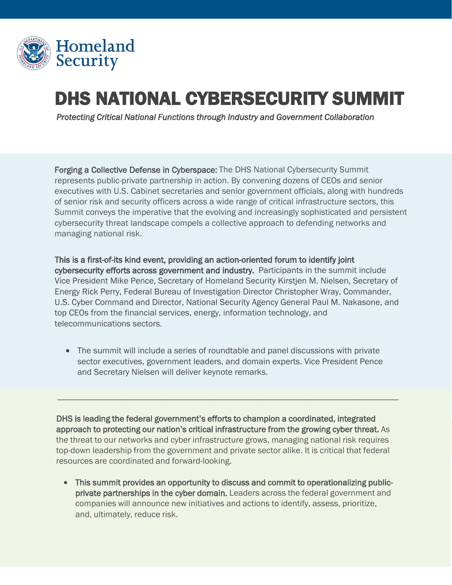

## DHS NATIONAL CYBERSECURITY SUMMIT

 *Protecting Critical National Functions through Industry and Government Collaboration* 

Forging a Collective Defense in Cyberspace: The DHS National Cybersecurity Summit represents public-private partnership in action. By convening dozens of CEOs and senior executives with U.S. Cabinet secretaries and senior government officials, along with hundreds of senior risk and security officers across a wide range of critical infrastructure sectors, this Summit conveys the imperative that the evolving and increasingly sophisticated and persistent cybersecurity threat landscape compels a collective approach to defending networks and managing national risk.

This is a first-of-its kind event, providing an action-oriented forum to identify joint cybersecurity efforts across government and industry. Participants in the summit include Vice President Mike Pence, Secretary of Homeland Security Kirstjen M. Nielsen, Secretary of Energy Rick Perry, Federal Bureau of Investigation Director Christopher Wray, Commander, U.S. Cyber Command and Director, National Security Agency General Paul M. Nakasone, and top CEOs from the financial services, energy, information technology, and telecommunications sectors.

• The summit will include a series of roundtable and panel discussions with private sector executives, government leaders, and domain experts. Vice President Pence and Secretary Nielsen will deliver keynote remarks.

\_\_\_\_\_\_\_\_\_\_\_\_\_\_\_\_\_\_\_\_\_\_\_\_\_\_\_\_\_\_\_\_\_\_\_\_\_\_\_\_\_\_\_\_\_\_\_\_\_\_\_\_\_\_\_\_\_\_\_\_\_\_\_\_\_\_\_\_\_\_\_\_\_\_\_\_\_

DHS is leading the federal government's efforts to champion a coordinated, integrated approach to protecting our nation's critical infrastructure from the growing cyber threat. As the threat to our networks and cyber infrastructure grows, managing national risk requires top-down leadership from the government and private sector alike. It is critical that federal resources are coordinated and forward-looking.

• This summit provides an opportunity to discuss and commit to operationalizing publicprivate partnerships in the cyber domain. Leaders across the federal government and companies will announce new initiatives and actions to identify, assess, prioritize, and, ultimately, reduce risk.